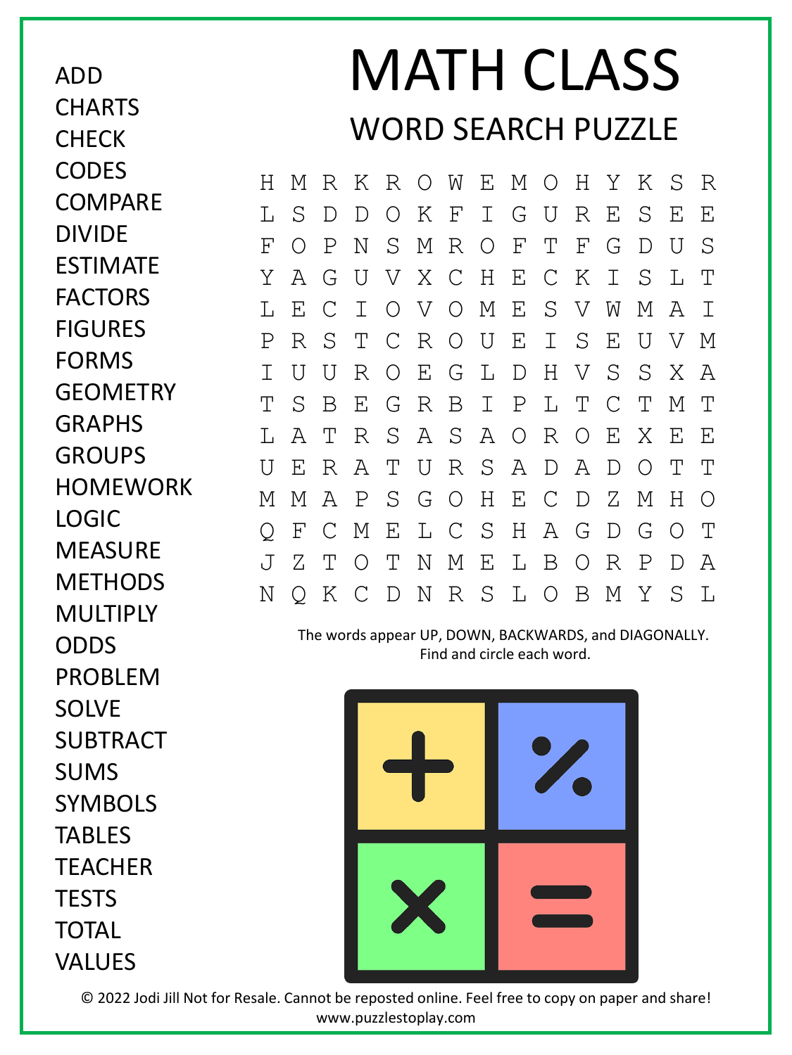ADD **CHARTS CHECK CODES COMPARE** DIVIDE ESTIMATE FACTORS FIGURES FORMS **GFOMFTRY** GRAPHS GROUPS **HOMEWORK** LOGIC **MEASURF MFTHODS MULTIPLY** ODDS PROBLEM SOLVE SUBTRACT SUMS SYMBOLS TABLES **TEACHER TFSTS** TOTAL

## VALUES

## MATH CLASS WORD SEARCH PUZZLE

H M R K R O W E M O H Y K S R L S D D O K F I G U R E S E E F O P N S M R O F T F G D U S Y A G U V X C H E C K I S L T L E C I O V O M E S V W M A I P R S T C R O U E I S E U V M I U U R O E G L D H V S S X A T S B E G R B I P L T C T M T L A T R S A S A O R O E X E E U E R A T U R S A D A D O T T M M A P S G O H E C D Z M H O Q F C M E L C S H A G D G O T J Z T O T N M E L B O R P D A N Q K C D N R S L O B M Y S L

The words appear UP, DOWN, BACKWARDS, and DIAGONALLY. Find and circle each word.



© 2022 Jodi Jill Not for Resale. Cannot be reposted online. Feel free to copy on paper and share! www.puzzlestoplay.com